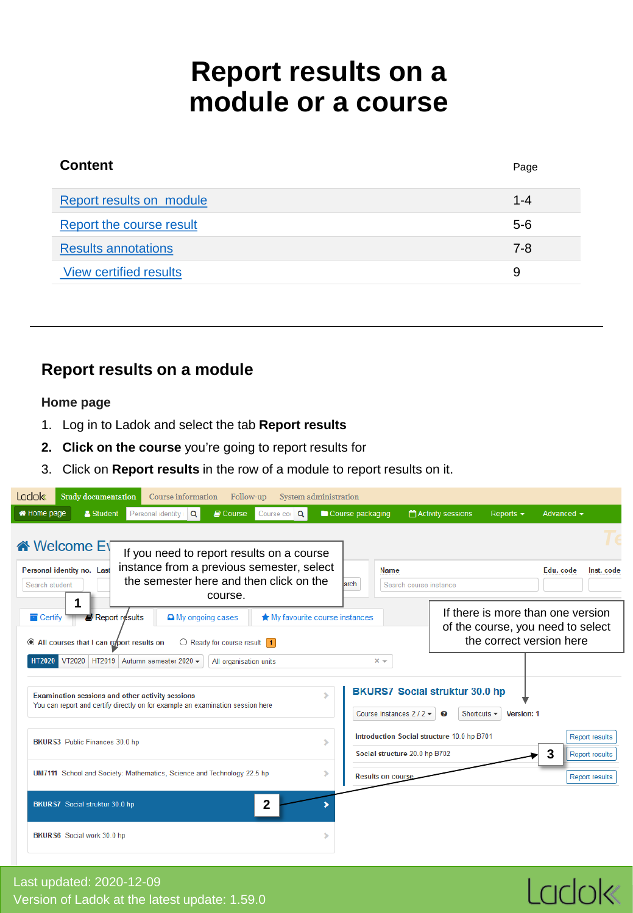## **Report results on a module or a course**

<span id="page-0-0"></span>

| <b>Content</b>                | Page    |
|-------------------------------|---------|
| Report results on module      | $1 - 4$ |
| Report the course result      | $5 - 6$ |
| <b>Results annotations</b>    | $7 - 8$ |
| <b>View certified results</b> | 9       |

## **Report results on a module**

## **Home page**

- 1. Log in to Ladok and select the tab **Report results**
- **2. Click on the course** you're going to report results for
- 3. Click on **Report results** in the row of a module to report results on it.

| <b>Ladok</b><br>Study documentation                                                                 | Course information                                                                     | Follow-up<br>System administration |                               |                                                                             |                                                      |                                                                                                    |
|-----------------------------------------------------------------------------------------------------|----------------------------------------------------------------------------------------|------------------------------------|-------------------------------|-----------------------------------------------------------------------------|------------------------------------------------------|----------------------------------------------------------------------------------------------------|
| Home page<br>& Student                                                                              | Personal identity<br>Q<br><b>D</b> Course                                              | Course cor Q                       | Course packaging              | Activity sessions                                                           | Reports $\sim$                                       | Advanced $\sim$                                                                                    |
| iNelcome E                                                                                          | If you need to report results on a course<br>instance from a previous semester, select |                                    | <b>Name</b>                   |                                                                             |                                                      |                                                                                                    |
| Personal identity no. Last<br>Search student                                                        | the semester here and then click on the<br>course.                                     |                                    | <b>larch</b>                  | Search course instance                                                      |                                                      | Edu. code<br>Inst. code                                                                            |
| $\blacksquare$ Report results<br>$\blacksquare$ Certify<br>All courses that I can report results on | A My ongoing cases<br>$\bigcirc$ Ready for course result 1                             | ★ My favourite course instances    |                               |                                                                             |                                                      | If there is more than one version<br>of the course, you need to select<br>the correct version here |
| VT2020 HT2019 Autumn semester 2020 ▼<br><b>HT2020</b>                                               |                                                                                        | All organisation units             | $x -$                         |                                                                             |                                                      |                                                                                                    |
| Examination sessions and other activity sessions                                                    | You can report and certify directly on for example an examination session here         |                                    | Course instances $2/2$        | <b>BKURS7 Social struktur 30.0 hp</b><br><u>(၃)</u>                         | Shortcuts $\blacktriangleright$<br><b>Version: 1</b> |                                                                                                    |
| BKURS3 Public Finances 30.0 hp                                                                      |                                                                                        |                                    | ⋟                             | Introduction Social structure 10.0 hp B701<br>Social structure 20.0 hp B702 |                                                      | <b>Report results</b><br>3<br>Report results                                                       |
|                                                                                                     | UM7111 School and Society: Mathematics, Science and Technology 22.5 hp                 |                                    | ⋗<br><b>Results on course</b> |                                                                             |                                                      | Report results                                                                                     |
| BKURS7 Social struktur 30.0 hp                                                                      |                                                                                        | 2                                  |                               |                                                                             |                                                      |                                                                                                    |
| BKURS6 Social work 30.0 hp                                                                          |                                                                                        |                                    |                               |                                                                             |                                                      |                                                                                                    |

## Last updated: 2020-12-09 Version of Ladok at the latest update: 1.59.0

# Ladok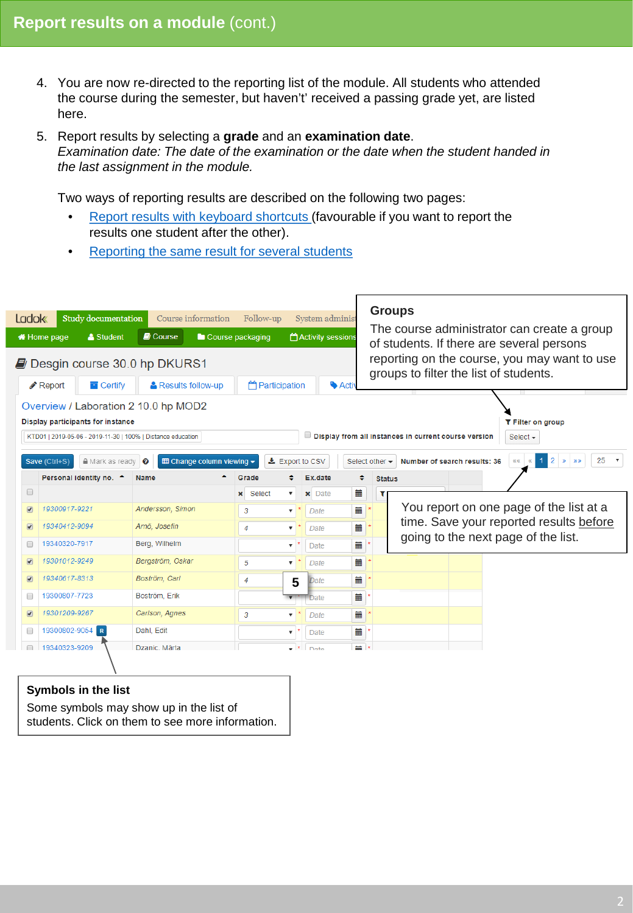- 4. You are now re-directed to the reporting list of the module. All students who attended the course during the semester, but haven't' received a passing grade yet, are listed here.
- 5. Report results by selecting a **grade** and an **examination date**. *Examination date: The date of the examination or the date when the student handed in the last assignment in the module.*

Two ways of reporting results are described on the following two pages:

- [Report results with keyboard shortcuts \(](#page-2-0)favourable if you want to report the results one student after the other).
- [Reporting the same result for several students](#page-3-0)

| <b>Ladok</b>             |                                                                                                                                 | Study documentation               |                                                                                                     | Course information                | Follow-up                 | System administ          |          |                    | <b>Groups</b>                                                                             |  |  |  |
|--------------------------|---------------------------------------------------------------------------------------------------------------------------------|-----------------------------------|-----------------------------------------------------------------------------------------------------|-----------------------------------|---------------------------|--------------------------|----------|--------------------|-------------------------------------------------------------------------------------------|--|--|--|
|                          | Home page                                                                                                                       | & Student                         | <b>D</b> Course                                                                                     | Course packaging                  |                           | <b>Activity sessions</b> |          |                    | The course administrator can create a group<br>of students. If there are several persons  |  |  |  |
|                          | reporting on the course, you may want to use<br><b>D</b> Desgin course 30.0 hp DKURS1<br>groups to filter the list of students. |                                   |                                                                                                     |                                   |                           |                          |          |                    |                                                                                           |  |  |  |
|                          | <b>Participation</b><br><b>Activ</b><br>$\blacksquare$ Certify<br>Results follow-up<br>Report                                   |                                   |                                                                                                     |                                   |                           |                          |          |                    |                                                                                           |  |  |  |
|                          |                                                                                                                                 | Display participants for instance | Overview / Laboration 2 10.0 hp MOD2<br>KTD01   2019-05-06 - 2019-11-30   100%   Distance education |                                   |                           |                          |          |                    | T Filter on group<br>Display from all instances in current course version<br>Select $-$   |  |  |  |
|                          | Save (Ctrl+S)                                                                                                                   | <b>■</b> Mark as ready            | $\boldsymbol{\Omega}$                                                                               | <b>EE Change column viewing ▼</b> | LExport to CSV            |                          |          | Select other -     | 25<br>$\overline{2}$<br>Number of search results: 36<br>依依<br>$\mathcal{D}$ $\mathcal{D}$ |  |  |  |
| $\Box$                   |                                                                                                                                 | Personal identity no. ^           | <b>Name</b>                                                                                         | Grade                             | <b>x</b> Select<br>▼      | Ex.date<br>$\times$ Date | ٠<br>m   | <b>Status</b><br>т |                                                                                           |  |  |  |
| $\bullet$                | 19300917-9221                                                                                                                   |                                   | Andersson, Simon                                                                                    | 3                                 | $\overline{\mathbf{v}}$   | Date                     | m        |                    | You report on one page of the list at a                                                   |  |  |  |
| $\overline{\mathcal{F}}$ | 19340412-9094                                                                                                                   |                                   | Arnö, Josefin                                                                                       | 4                                 | ▼                         | Date                     | 藟        |                    | time. Save your reported results before                                                   |  |  |  |
| □                        | 19340320-7917                                                                                                                   |                                   | Berg, Wilhelm                                                                                       |                                   | $\overline{\mathbf{v}}$   | <b>Date</b>              | 藟        |                    | going to the next page of the list.                                                       |  |  |  |
| $\boxed{\bullet}$        | 19301012-9249                                                                                                                   |                                   | Bergström, Oskar                                                                                    | 5                                 | $\mathbf{v}$              | Date                     | 萹        |                    |                                                                                           |  |  |  |
| $\overline{\bullet}$     | 19340617-8313                                                                                                                   |                                   | Boström, Carl                                                                                       | 4                                 | 5                         | Date                     | 藟        |                    |                                                                                           |  |  |  |
| 0                        | 19300807-7723                                                                                                                   |                                   | Boström, Erik                                                                                       |                                   |                           | <b>Date</b>              | 萹        |                    |                                                                                           |  |  |  |
| $\overline{\mathcal{F}}$ | 19301209-9267                                                                                                                   |                                   | Carlson, Agnes                                                                                      | 3                                 |                           | Date                     | 藟        |                    |                                                                                           |  |  |  |
| □                        | 19300802-9054                                                                                                                   | R                                 | Dahl, Edit                                                                                          |                                   | $\boldsymbol{\mathrm{v}}$ | Date                     | m        |                    |                                                                                           |  |  |  |
| $\Box$                   | 19340323-9209                                                                                                                   |                                   | Dzanic, Märta                                                                                       |                                   | $\bullet$ $\bullet$       | Date                     | $\equiv$ |                    |                                                                                           |  |  |  |
|                          |                                                                                                                                 | <b>Symbols in the list</b>        |                                                                                                     |                                   |                           |                          |          |                    |                                                                                           |  |  |  |

Some symbols may show up in the list of students. Click on them to see more information.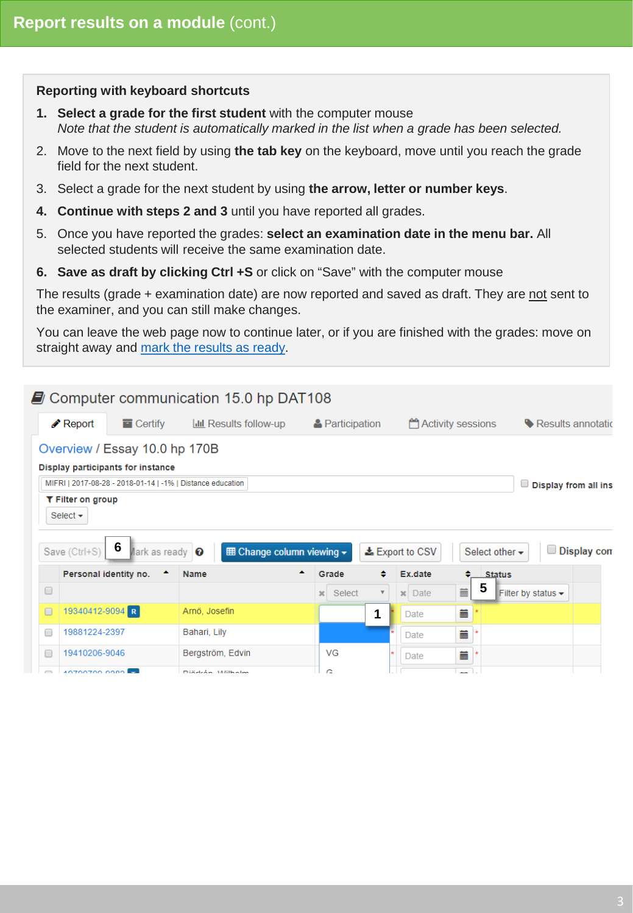## <span id="page-2-0"></span>**Reporting with keyboard shortcuts**

- **1. Select a grade for the first student** with the computer mouse *Note that the student is automatically marked in the list when a grade has been selected.*
- 2. Move to the next field by using **the tab key** on the keyboard, move until you reach the grade field for the next student.
- 3. Select a grade for the next student by using **the arrow, letter or number keys**.
- **4. Continue with steps 2 and 3** until you have reported all grades.
- 5. Once you have reported the grades: **select an examination date in the menu bar.** All selected students will receive the same examination date.
- **6. Save as draft by clicking Ctrl +S** or click on "Save" with the computer mouse

The results (grade + examination date) are now reported and saved as draft. They are not sent to the examiner, and you can still make changes.

You can leave the web page now to continue later, or if you are finished with the grades: move on straight away and [mark the results as ready](#page-4-0).

|        |                                                                                                                                  | Computer communication 15.0 hp DAT108 |                                  |                                                        |                                                                                                                                                                                                                                     |                                        |             |
|--------|----------------------------------------------------------------------------------------------------------------------------------|---------------------------------------|----------------------------------|--------------------------------------------------------|-------------------------------------------------------------------------------------------------------------------------------------------------------------------------------------------------------------------------------------|----------------------------------------|-------------|
|        | $\triangle$ Report<br>$\blacksquare$ Certify                                                                                     | <b>III</b> Results follow-up          | <b>A</b> Participation           |                                                        | <b>Activity sessions</b>                                                                                                                                                                                                            | Results annotatic                      |             |
|        | Overview / Essay 10.0 hp 170B<br>Display participants for instance<br>MIFRI   2017-08-28 - 2018-01-14   -1%   Distance education |                                       |                                  |                                                        |                                                                                                                                                                                                                                     | $\Box$ Display from all ins            |             |
|        | T Filter on group<br>Select $\sim$<br>6<br>Save (Ctrl+S)                                                                         | $A$ ark as ready $\bigcirc$           | <b>囲 Change column viewing ▼</b> | <b>±</b> Export to CSV                                 | Select other -                                                                                                                                                                                                                      |                                        | Display con |
|        | Personal identity no.                                                                                                            | <b>Name</b>                           | ▴<br>Grade                       | ٠<br>Ex.date                                           | ٠<br><b>Status</b>                                                                                                                                                                                                                  |                                        |             |
| $\Box$ |                                                                                                                                  |                                       | Select<br>$\mathbf{x}$           | <b>Date</b><br>$\overline{\mathbf{v}}$<br>$\mathbf{x}$ | 5<br>im and the second that the second term in the second term in the second term in the second term in the second term in the second term in the second term in the second term in the second term in the second term in the secon | Filter by status $\blacktriangleright$ |             |
| $\Box$ | 19340412-9094 R                                                                                                                  | Arnö, Josefin                         | 1                                | Date                                                   | 萹                                                                                                                                                                                                                                   |                                        |             |
| □      | 19881224-2397                                                                                                                    | Bahari, Lily                          |                                  | Date                                                   | 萹<br>٠                                                                                                                                                                                                                              |                                        |             |
| □      | 19410206-9046                                                                                                                    | Bergström, Edvin                      | VG                               | Date                                                   | 萹                                                                                                                                                                                                                                   |                                        |             |
| $\Box$ | 10700700.0000                                                                                                                    | Diseleán Millhalm                     | c                                |                                                        |                                                                                                                                                                                                                                     |                                        |             |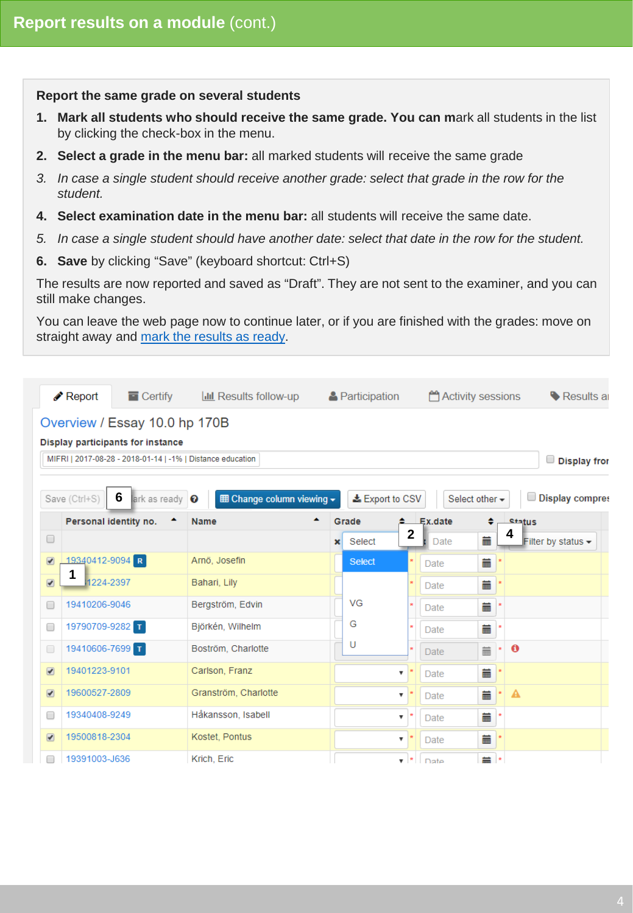#### <span id="page-3-0"></span>**Report the same grade on several students**

- **1. Mark all students who should receive the same grade. You can m**ark all students in the list by clicking the check-box in the menu.
- **2. Select a grade in the menu bar:** all marked students will receive the same grade
- *3. In case a single student should receive another grade: select that grade in the row for the student.*
- **4. Select examination date in the menu bar:** all students will receive the same date.
- *5. In case a single student should have another date: select that date in the row for the student.*
- **6. Save** by clicking "Save" (keyboard shortcut: Ctrl+S)

The results are now reported and saved as "Draft". They are not sent to the examiner, and you can still make changes.

You can leave the web page now to continue later, or if you are finished with the grades: move on straight away and [mark the results as ready](#page-4-0).

|                          | Report                | $\blacksquare$ Certify            | <b>III</b> Results follow-up                               |              | & Participation |                           |             | Activity sessions | Results a                                   |
|--------------------------|-----------------------|-----------------------------------|------------------------------------------------------------|--------------|-----------------|---------------------------|-------------|-------------------|---------------------------------------------|
|                          |                       | Overview / Essay 10.0 hp 170B     |                                                            |              |                 |                           |             |                   |                                             |
|                          |                       | Display participants for instance |                                                            |              |                 |                           |             |                   |                                             |
|                          |                       |                                   | MIFRI   2017-08-28 - 2018-01-14   -1%   Distance education |              |                 |                           |             |                   | Display from                                |
|                          | Save (Ctrl+S)         | 6<br>ark as ready                 | <b>⊞ Change column viewing -</b><br>$\boldsymbol{\Omega}$  |              | LExport to CSV  |                           |             | Select other -    | Display compres                             |
|                          | Personal identity no. |                                   | <b>Name</b>                                                |              | Grade           |                           | Ex.date     |                   | <b>Status</b>                               |
| $\Box$                   |                       |                                   |                                                            | $\mathbf{x}$ | Select          | $\mathbf{2}$              | <b>Date</b> | 萹                 | 4<br>Filter by status $\blacktriangleright$ |
| $\sqrt{2}$               | 19340412-9094 R       |                                   | Arnö, Josefin                                              |              | <b>Select</b>   |                           | Date        | 萹                 |                                             |
| $\overline{\mathcal{F}}$ | 1<br>1224-2397        |                                   | Bahari, Lily                                               |              |                 |                           | Date        | 萹                 |                                             |
| □                        | 19410206-9046         |                                   | Bergström, Edvin                                           |              | VG              |                           | Date        | 葍                 |                                             |
| □                        | 19790709-9282 T       |                                   | Björkén, Wilhelm                                           |              | G               |                           | <b>Date</b> | 萹                 |                                             |
| □                        | 19410606-7699 T       |                                   | Boström, Charlotte                                         |              | U               |                           | <b>Date</b> | 萹                 | $\mathbf \Theta$                            |
| $\overline{\mathcal{F}}$ | 19401223-9101         |                                   | Carlson, Franz                                             |              |                 | ▼                         | Date        | Ä                 |                                             |
| $\overline{\mathcal{F}}$ | 19600527-2809         |                                   | Granström, Charlotte                                       |              |                 | $\overline{\mathbf{v}}$   | Date        | 蘦                 | A                                           |
| ∩                        | 19340408-9249         |                                   | Håkansson, Isabell                                         |              |                 | $\pmb{\mathrm{v}}$        | <b>Date</b> | 萹                 |                                             |
| $\overline{\mathcal{F}}$ | 19500818-2304         |                                   | Kostet, Pontus                                             |              |                 | $\boldsymbol{\mathrm{v}}$ | Date        | 萹                 |                                             |
|                          | 19391003-J636         |                                   | Krich, Eric                                                |              |                 | $\mathbf{v}$ $\mathbf{r}$ | Date        | <b>盖</b> *        |                                             |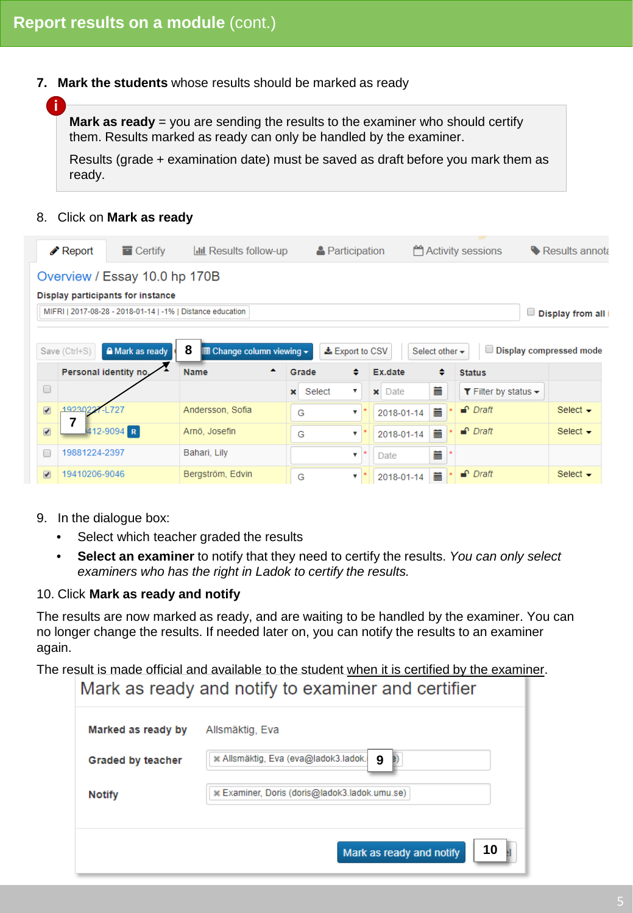<span id="page-4-0"></span>**7. Mark the students** whose results should be marked as ready

**Mark as ready** = you are sending the results to the examiner who should certify them. Results marked as ready can only be handled by the examiner.

Results (grade + examination date) must be saved as draft before you mark them as ready.

#### 8. Click on **Mark as ready**

**i**

|                          | $\triangle$ Report | $\blacksquare$ Certify                                     | <b>III</b> Results follow-up                              |              | <b>A</b> Participation    |                        |                     | <b>Activity sessions</b>                 | Results annota            |
|--------------------------|--------------------|------------------------------------------------------------|-----------------------------------------------------------|--------------|---------------------------|------------------------|---------------------|------------------------------------------|---------------------------|
|                          |                    | Overview / Essay 10.0 hp 170B                              |                                                           |              |                           |                        |                     |                                          |                           |
|                          |                    | Display participants for instance                          |                                                           |              |                           |                        |                     |                                          |                           |
|                          |                    | MIFRI   2017-08-28 - 2018-01-14   -1%   Distance education |                                                           |              |                           |                        |                     |                                          | $\Box$ Display from all i |
|                          | Save (Ctrl+S)      | A Mark as ready<br>Personal identity no.                   | 8<br><b>囲 Change column viewing ▼</b><br><b>Name</b><br>▴ | Grade        | Lexport to CSV<br>٠       | Ex.date                | Select other -<br>٠ | <b>Status</b>                            | Display compressed mode   |
| $\Box$                   |                    |                                                            |                                                           | $\mathbf{x}$ | Select<br>▼               | Date<br>$\pmb{\times}$ | 萹                   | T Filter by status $\blacktriangleright$ |                           |
| $\sqrt{2}$               | 192302             |                                                            | Andersson, Sofia                                          | G            | ▼                         | 2018-01-14             | 萹                   | $\bigcap$ Draft                          | Select $\sim$             |
| $\overline{\mathcal{L}}$ |                    | 412-9094 R                                                 | Arnö, Josefin                                             | G            | $\overline{\mathbf{v}}$   | 2018-01-14             | 萹                   | $\bigcap$ Draft                          | Select $\sim$             |
| □                        | 19881224-2397      |                                                            | Bahari, Lily                                              |              | $\boldsymbol{\mathrm{v}}$ | Date                   | 萹                   |                                          |                           |
| $\overline{\mathcal{L}}$ | 19410206-9046      |                                                            | Bergström, Edvin                                          | G            | ▼                         | 2018-01-14             | 蘦                   | $\bigcap$ Draft                          | Select $\sim$             |

- 9. In the dialogue box:
	- Select which teacher graded the results
	- **Select an examiner** to notify that they need to certify the results. *You can only select examiners who has the right in Ladok to certify the results.*

## 10. Click **Mark as ready and notify**

The results are now marked as ready, and are waiting to be handled by the examiner. You can no longer change the results. If needed later on, you can notify the results to an examiner again.

The result is made official and available to the student when it is certified by the examiner.

## Mark as ready and notify to examiner and certifier

| Marked as ready by | Allsmäktig, Eva                               |
|--------------------|-----------------------------------------------|
| Graded by teacher  | Allsmäktig, Eva (eva@ladok3.ladok.<br>9<br>в  |
| <b>Notify</b>      | ★ Examiner, Doris (doris@ladok3.ladok.umu.se) |
|                    | 10<br>Mark as ready and notify                |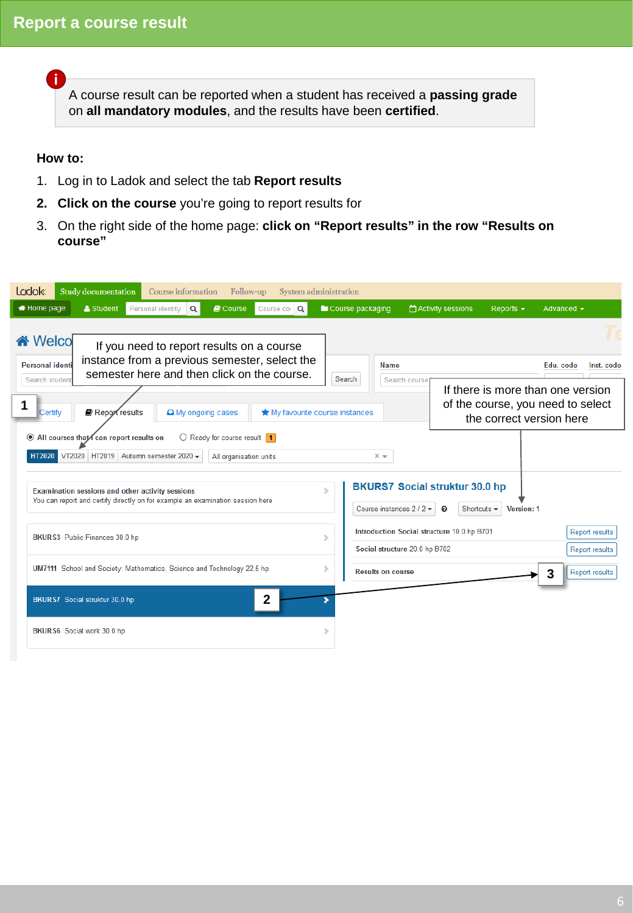A course result can be reported when a student has received a **passing grade**  on **all mandatory modules**, and the results have been **certified**.

## **How to:**

<span id="page-5-0"></span>**i**

- 1. Log in to Ladok and select the tab **Report results**
- **2. Click on the course** you're going to report results for
- 3. On the right side of the home page: **click on "Report results" in the row "Results on course"**

| <b>Ladok</b><br>Study documentation<br>Course information<br>Follow-up<br>System administration                                                                      |                                                                                                                              |
|----------------------------------------------------------------------------------------------------------------------------------------------------------------------|------------------------------------------------------------------------------------------------------------------------------|
| <b>A</b> Home page<br>& Student<br>Personal identity<br>$\blacksquare$ Course<br>Course cor Q<br>Q                                                                   | Course packaging<br>Activity sessions<br>Reports $\sim$<br>Advanced $\sim$                                                   |
| <b>谷</b> Welco<br>If you need to report results on a course<br>instance from a previous semester, select the<br>Personal identi                                      | Edu. code<br>Inst. code<br><b>Name</b>                                                                                       |
| semester here and then click on the course.<br>Search student                                                                                                        | Search<br>Search course                                                                                                      |
| Report results<br><b>Certify</b><br>A My ongoing cases<br>★ My favourite course instances                                                                            | If there is more than one version<br>of the course, you need to select<br>the correct version here                           |
| $\bigcirc$ Ready for course result 1<br>◉ All courses that/ can report results on<br>VT2020 HT2019 Autumn semester 2020 -<br><b>HT2020</b><br>All organisation units | $x -$                                                                                                                        |
| Examination sessions and other activity sessions<br>You can report and certify directly on for example an examination session here                                   | <b>BKURS7 Social struktur 30.0 hp</b><br>Course instances $2/2$<br>Shortcuts $\blacktriangleright$<br>Ø<br><b>Version: 1</b> |
| BKURS3 Public Finances 30.0 hp                                                                                                                                       | Introduction Social structure 10.0 hp B701<br>Report results<br>s<br>Social structure 20.0 hp B702<br><b>Report results</b>  |
| UM7111 School and Society: Mathematics, Science and Technology 22.5 hp                                                                                               | <b>Results on course</b><br><b>Report results</b><br>З                                                                       |
| 2<br>BKURS7 Social struktur 30.0 hp                                                                                                                                  |                                                                                                                              |
| BKURS6 Social work 30.0 hp                                                                                                                                           |                                                                                                                              |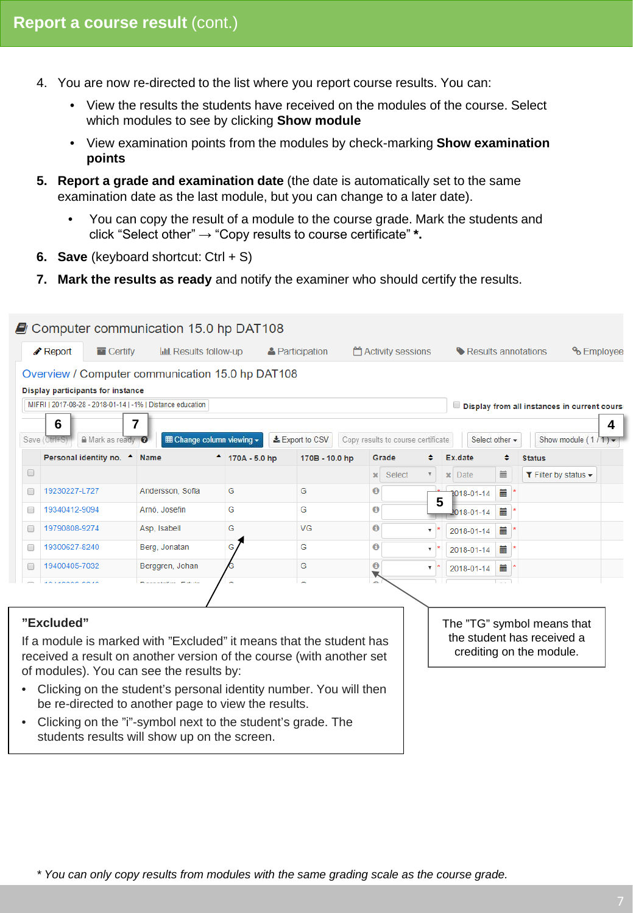- 4. You are now re-directed to the list where you report course results. You can:
	- View the results the students have received on the modules of the course. Select which modules to see by clicking **Show module**
	- View examination points from the modules by check-marking **Show examination points**
- **5. Report a grade and examination date** (the date is automatically set to the same examination date as the last module, but you can change to a later date).
	- You can copy the result of a module to the course grade. Mark the students and click "Select other" → "Copy results to course certificate" **\*.**
- **6. Save** (keyboard shortcut: Ctrl + S)
- **7. Mark the results as ready** and notify the examiner who should certify the results.

|   | Report<br>$\blacksquare$ Certify                                     | <b>III Results follow-up</b>     |                            | <b>A</b> Participation |              | Activity sessions                  |                               | Results annotations | <sup>o</sup> Employee                                      |  |
|---|----------------------------------------------------------------------|----------------------------------|----------------------------|------------------------|--------------|------------------------------------|-------------------------------|---------------------|------------------------------------------------------------|--|
|   | Overview / Computer communication 15.0 hp DAT108                     |                                  |                            |                        |              |                                    |                               |                     |                                                            |  |
|   | Display participants for instance                                    |                                  |                            |                        |              |                                    |                               |                     |                                                            |  |
|   | MIFRI   2017-08-28 - 2018-01-14   -1%   Distance education           |                                  |                            |                        |              |                                    |                               |                     | Display from all instances in current course               |  |
|   | 6                                                                    | 7                                |                            |                        |              |                                    |                               |                     |                                                            |  |
|   | A Mark as ready O<br>Save (Ctrl+S                                    | <b>⊞ Change column viewing -</b> |                            | LExport to CSV         |              | Copy results to course certificate |                               | Select other *      | Show module $(1/T)$ $\star$                                |  |
|   | Personal identity no. ^ Name                                         |                                  | $^{\bullet}$ 170A - 5.0 hp | 170B - 10.0 hp         | Grade        |                                    | Ex.date                       |                     | <b>Status</b>                                              |  |
| 0 |                                                                      |                                  |                            |                        | $\mathbf{x}$ | Select                             | $\vert \mathbf{x} \vert$ Date | 盖                   | $\blacktriangledown$ Filter by status $\blacktriangledown$ |  |
| 0 | 19230227-L727                                                        | Andersson, Sofia                 | G                          | G                      | 0            |                                    | 1018-01-14                    | 萹                   |                                                            |  |
| □ | 19340412-9094                                                        | Arnö, Josefin                    | G                          | G                      | 0            | 5                                  | $1018 - 01 - 14$              | 萹                   |                                                            |  |
|   | 19790808-9274                                                        | Asp, Isabell                     | G                          | VG                     | 0            |                                    | 2018-01-14                    | 萹                   |                                                            |  |
| ∩ | 19300627-8240                                                        | Berg, Jonatan                    | G                          | G                      | $\bf{0}$     | ۷.                                 | 2018-01-14                    | 萹                   |                                                            |  |
| ∩ | 19400405-7032                                                        | Berggren, Johan                  |                            | G                      | $\bf \Theta$ | 7                                  | 2018-01-14                    | 萹                   |                                                            |  |
|   | 1011000000010                                                        | <b>Distances Provide</b>         |                            | $\sim$                 | a.           |                                    |                               |                     |                                                            |  |
|   |                                                                      |                                  |                            |                        |              |                                    |                               |                     |                                                            |  |
|   | "Excluded"                                                           |                                  |                            |                        |              |                                    |                               |                     | The "TG" symbol means that                                 |  |
|   | If a module is marked with "Excluded" it means that the student has  |                                  |                            |                        |              |                                    |                               |                     | the student has received a                                 |  |
|   | received a result on another version of the course (with another set |                                  |                            |                        |              |                                    |                               |                     | crediting on the module.                                   |  |
|   | of modules). You can see the results by:                             |                                  |                            |                        |              |                                    |                               |                     |                                                            |  |
|   | Clicking on the student's personal identity number. You will then    |                                  |                            |                        |              |                                    |                               |                     |                                                            |  |
|   | be re-directed to another page to view the results.                  |                                  |                            |                        |              |                                    |                               |                     |                                                            |  |
|   | Clicking on the "i"-symbol next to the student's grade. The          |                                  |                            |                        |              |                                    |                               |                     |                                                            |  |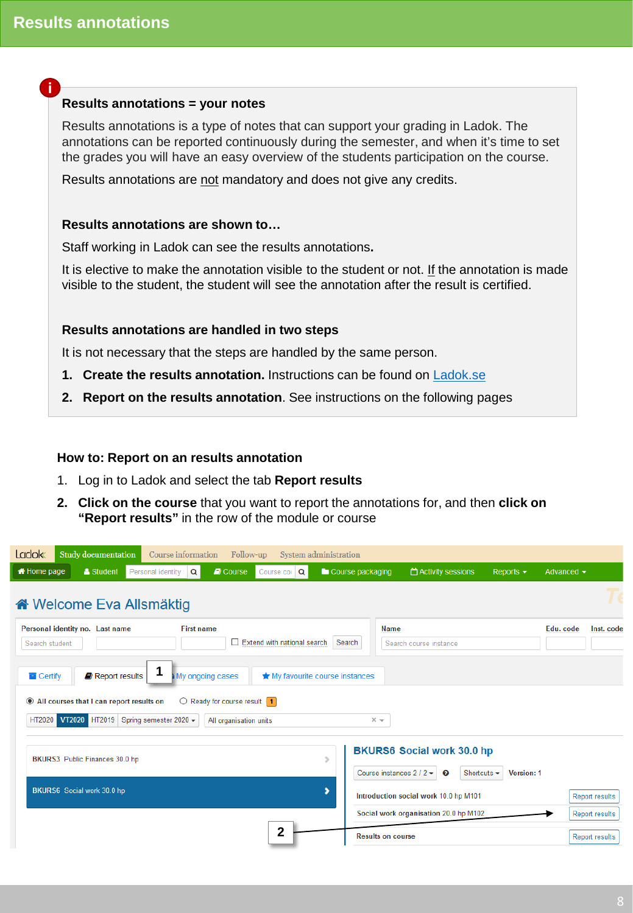## <span id="page-7-0"></span>**i**

### **Results annotations = your notes**

Results annotations is a type of notes that can support your grading in Ladok. The annotations can be reported continuously during the semester, and when it's time to set the grades you will have an easy overview of the students participation on the course.

Results annotations are not mandatory and does not give any credits.

## **Results annotations are shown to…**

Staff working in Ladok can see the results annotations**.**

It is elective to make the annotation visible to the student or not. If the annotation is made visible to the student, the student will see the annotation after the result is certified.

## **Results annotations are handled in two steps**

It is not necessary that the steps are handled by the same person.

- **1. Create the results annotation.** Instructions can be found on [Ladok.se](https://ladok.se/utbildning/utbildningsmaterial/resultat/administrera-resultatrapportering)
- **2. Report on the results annotation**. See instructions on the following pages

### **How to: Report on an results annotation**

- 1. Log in to Ladok and select the tab **Report results**
- **2. Click on the course** that you want to report the annotations for, and then **click on "Report results"** in the row of the module or course

| <b>Ladok</b><br>Study documentation<br>Follow-up<br>Course information<br>System administration       |                                                                                                          |
|-------------------------------------------------------------------------------------------------------|----------------------------------------------------------------------------------------------------------|
| <b>M</b> Home page<br>& Student<br>$\blacksquare$ Course<br>Course cor Q<br>Personal identity $ Q $   | Course packaging<br>Activity sessions<br>Advanced $\sim$<br>Reports $\sim$                               |
| « Welcome Eva Allsmäktig                                                                              |                                                                                                          |
| Personal identity no. Last name<br><b>First name</b><br>Extend with national search<br>Search student | Edu. code<br>Name<br>Inst. code<br>Search<br>Search course instance                                      |
| $\blacksquare$ Certify<br>Report results<br>My ongoing cases<br>★ My favourite course instances       |                                                                                                          |
| All courses that I can report results on<br>$\bigcirc$ Ready for course result $\bigcirc$             |                                                                                                          |
| HT2020 VT2020<br>HT2019 Spring semester 2020 -<br>All organisation units                              | $x -$                                                                                                    |
| BKURS3 Public Finances 30.0 hp                                                                        | <b>BKURS6 Social work 30.0 hp</b><br>⋟<br>Course instances $2/2$<br>Shortcuts $\star$<br>?<br>Version: 1 |
| BKURS6 Social work 30.0 hp                                                                            | ,<br>Introduction social work 10.0 hp M101<br><b>Report results</b>                                      |
|                                                                                                       | Social work organisation 20.0 hp M102<br><b>Report results</b>                                           |
| $\overline{2}$                                                                                        | <b>Results on course</b><br><b>Report results</b>                                                        |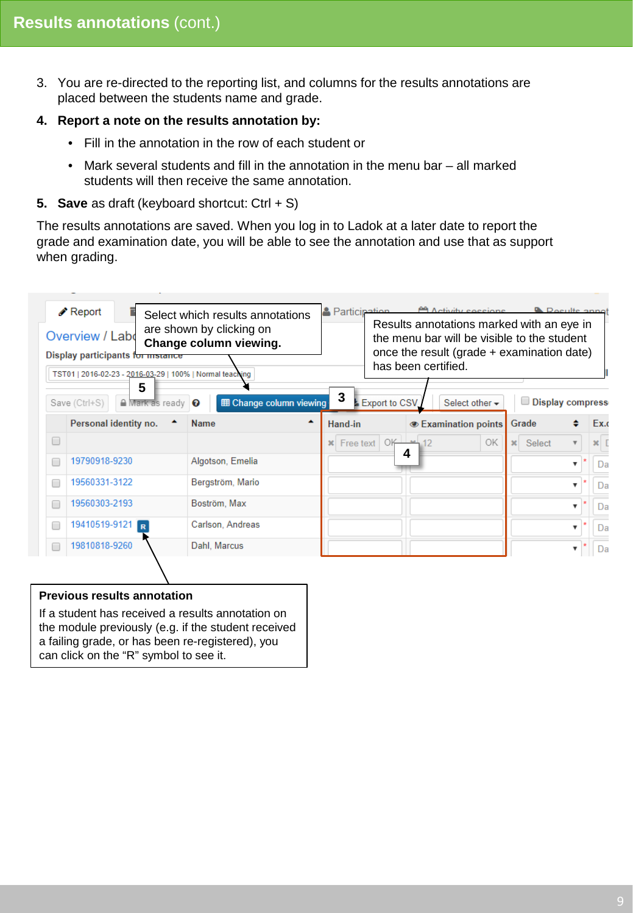3. You are re-directed to the reporting list, and columns for the results annotations are placed between the students name and grade.

## **4. Report a note on the results annotation by:**

- Fill in the annotation in the row of each student or
- Mark several students and fill in the annotation in the menu bar all marked students will then receive the same annotation.

## **5. Save** as draft (keyboard shortcut: Ctrl + S)

The results annotations are saved. When you log in to Ladok at a later date to report the grade and examination date, you will be able to see the annotation and use that as support when grading.



If a student has received a results annotation on the module previously (e.g. if the student received a failing grade, or has been re-registered), you can click on the "R" symbol to see it.